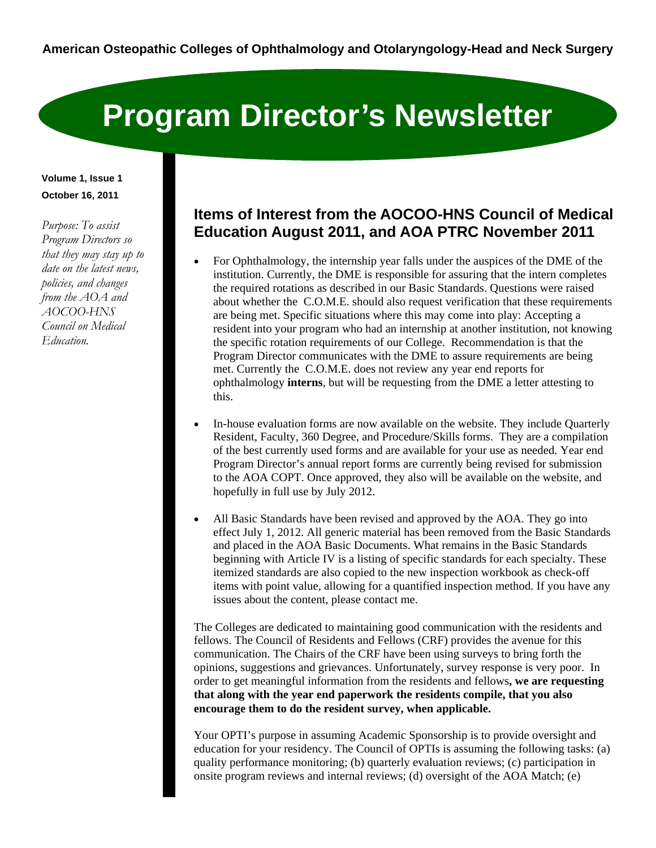# **Program Director's Newsletter**

#### **Volume 1, Issue 1 October 16, 2011**

*Purpose: To assist Program Directors so that they may stay up to date on the latest news, policies, and changes from the AOA and AOCOO-HNS Council on Medical Education.* 

## **Items of Interest from the AOCOO-HNS Council of Medical Education August 2011, and AOA PTRC November 2011**

- For Ophthalmology, the internship year falls under the auspices of the DME of the institution. Currently, the DME is responsible for assuring that the intern completes the required rotations as described in our Basic Standards. Questions were raised about whether the C.O.M.E. should also request verification that these requirements are being met. Specific situations where this may come into play: Accepting a resident into your program who had an internship at another institution, not knowing the specific rotation requirements of our College. Recommendation is that the Program Director communicates with the DME to assure requirements are being met. Currently the C.O.M.E. does not review any year end reports for ophthalmology **interns**, but will be requesting from the DME a letter attesting to this.
- In-house evaluation forms are now available on the website. They include Quarterly Resident, Faculty, 360 Degree, and Procedure/Skills forms. They are a compilation of the best currently used forms and are available for your use as needed. Year end Program Director's annual report forms are currently being revised for submission to the AOA COPT. Once approved, they also will be available on the website, and hopefully in full use by July 2012.
- All Basic Standards have been revised and approved by the AOA. They go into effect July 1, 2012. All generic material has been removed from the Basic Standards and placed in the AOA Basic Documents. What remains in the Basic Standards beginning with Article IV is a listing of specific standards for each specialty. These itemized standards are also copied to the new inspection workbook as check-off items with point value, allowing for a quantified inspection method. If you have any issues about the content, please contact me.

The Colleges are dedicated to maintaining good communication with the residents and fellows. The Council of Residents and Fellows (CRF) provides the avenue for this communication. The Chairs of the CRF have been using surveys to bring forth the opinions, suggestions and grievances. Unfortunately, survey response is very poor. In order to get meaningful information from the residents and fellows**, we are requesting that along with the year end paperwork the residents compile, that you also encourage them to do the resident survey, when applicable.**

Your OPTI's purpose in assuming Academic Sponsorship is to provide oversight and education for your residency. The Council of OPTIs is assuming the following tasks: (a) quality performance monitoring; (b) quarterly evaluation reviews; (c) participation in onsite program reviews and internal reviews; (d) oversight of the AOA Match; (e)